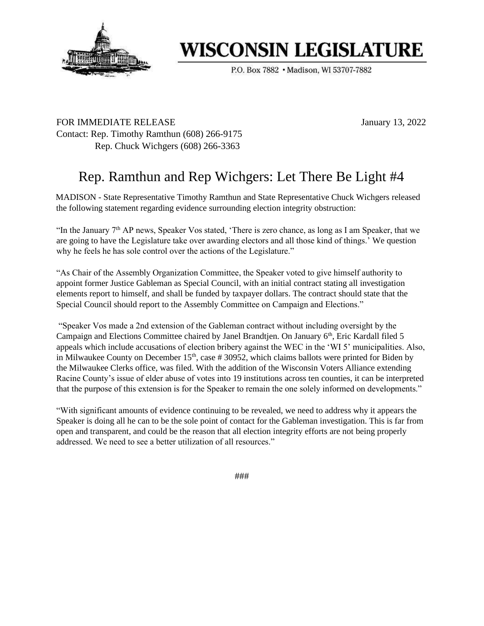

# **WISCONSIN LEGISLATURE**

P.O. Box 7882 . Madison, WI 53707-7882

FOR IMMEDIATE RELEASE January 13, 2022 Contact: Rep. Timothy Ramthun (608) 266-9175 Rep. Chuck Wichgers (608) 266-3363

# Rep. Ramthun and Rep Wichgers: Let There Be Light #4

MADISON - State Representative Timothy Ramthun and State Representative Chuck Wichgers released the following statement regarding evidence surrounding election integrity obstruction:

"In the January  $7<sup>th</sup>$  AP news, Speaker Vos stated, 'There is zero chance, as long as I am Speaker, that we are going to have the Legislature take over awarding electors and all those kind of things.' We question why he feels he has sole control over the actions of the Legislature."

"As Chair of the Assembly Organization Committee, the Speaker voted to give himself authority to appoint former Justice Gableman as Special Council, with an initial contract stating all investigation elements report to himself, and shall be funded by taxpayer dollars. The contract should state that the Special Council should report to the Assembly Committee on Campaign and Elections."

"Speaker Vos made a 2nd extension of the Gableman contract without including oversight by the Campaign and Elections Committee chaired by Janel Brandtjen. On January 6<sup>th</sup>, Eric Kardall filed 5 appeals which include accusations of election bribery against the WEC in the 'WI 5' municipalities. Also, in Milwaukee County on December 15<sup>th</sup>, case # 30952, which claims ballots were printed for Biden by the Milwaukee Clerks office, was filed. With the addition of the Wisconsin Voters Alliance extending Racine County's issue of elder abuse of votes into 19 institutions across ten counties, it can be interpreted that the purpose of this extension is for the Speaker to remain the one solely informed on developments."

"With significant amounts of evidence continuing to be revealed, we need to address why it appears the Speaker is doing all he can to be the sole point of contact for the Gableman investigation. This is far from open and transparent, and could be the reason that all election integrity efforts are not being properly addressed. We need to see a better utilization of all resources."

###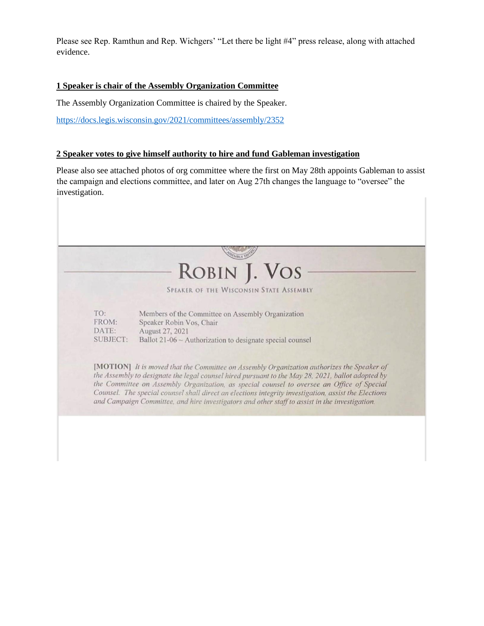Please see Rep. Ramthun and Rep. Wichgers' "Let there be light #4" press release, along with attached evidence.

## **1 Speaker is chair of the Assembly Organization Committee**

The Assembly Organization Committee is chaired by the Speaker.

https://docs.legis.wisconsin.gov/2021/committees/assembly/2352

### **2 Speaker votes to give himself authority to hire and fund Gableman investigation**

Please also see attached photos of org committee where the first on May 28th appoints Gableman to assist the campaign and elections committee, and later on Aug 27th changes the language to "oversee" the investigation.

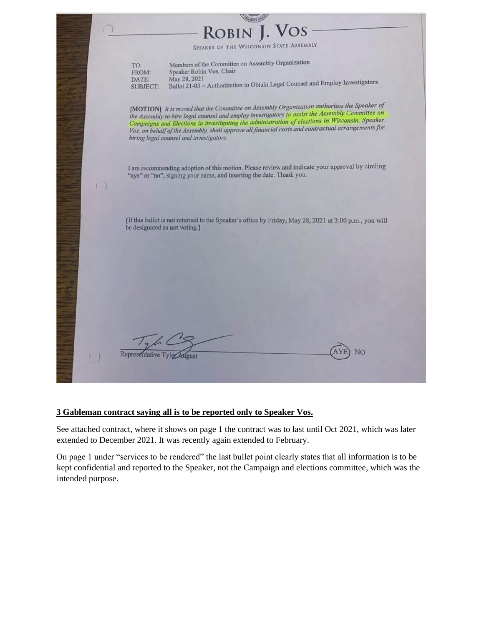# **ROBIN**

SPEAKER OF THE WISCONSIN STATE ASSEMBLY

Members of the Committee on Assembly Organization TO: Speaker Robin Vos, Chair FROM: DATE: May 28, 2021 May  $28$ ,  $2021$ <br>Ballot  $21-03 \sim$  Authorization to Obtain Legal Counsel and Employ Investigators **SUBJECT:** 

[MOTION] It is moved that the Committee on Assembly Organization authorizes the Speaker of [MOTION] It is moved that the Committee on Assembly Organization Lawssembly Committee on<br>the Assembly to hire legal counsel and employ investigators to assist the Assembly Committee on Campaigns and Elections in investigating the administration of elections in Wisconsin. Speaker Campaigns and Elections in investigating the damancial costs and contractual arrangements for Vos, on behalf of the Assembly, shall approve all financial costs and contractual arrangements for hiring legal counsel and investigators.

I am recommending adoption of this motion. Please review and indicate your approval by circling "aye" or "no", signing your name, and inserting the date. Thank you.

[If this ballot is not returned to the Speaker's office by Friday, May 28, 2021 at 3:00 p.m., you will be designated as not voting.]

NO

Representative Ty

#### **3 Gableman contract saying all is to be reported only to Speaker Vos.**

See attached contract, where it shows on page 1 the contract was to last until Oct 2021, which was later extended to December 2021. It was recently again extended to February.

On page 1 under "services to be rendered" the last bullet point clearly states that all information is to be kept confidential and reported to the Speaker, not the Campaign and elections committee, which was the intended purpose.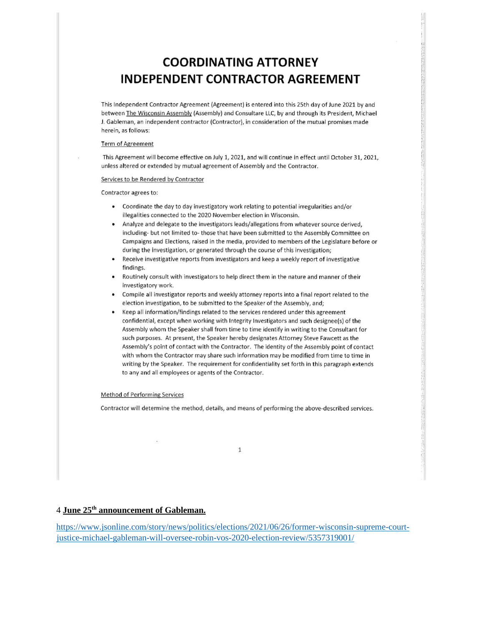# **COORDINATING ATTORNEY INDEPENDENT CONTRACTOR AGREEMENT**

This Independent Contractor Agreement (Agreement) is entered into this 25th day of June 2021 by and between The Wisconsin Assembly (Assembly) and Consultare LLC, by and through its President, Michael J. Gableman, an independent contractor (Contractor), in consideration of the mutual promises made herein, as follows:

#### Term of Agreement

This Agreement will become effective on July 1, 2021, and will continue in effect until October 31, 2021, unless altered or extended by mutual agreement of Assembly and the Contractor.

#### Services to be Rendered by Contractor

Contractor agrees to:

- Coordinate the day to day investigatory work relating to potential irregularities and/or illegalities connected to the 2020 November election in Wisconsin.
- Analyze and delegate to the investigators leads/allegations from whatever source derived, including- but not limited to-those that have been submitted to the Assembly Committee on Campaigns and Elections, raised in the media, provided to members of the Legislature before or during the investigation, or generated through the course of this investigation;
- $\bullet$ Receive investigative reports from investigators and keep a weekly report of investigative findings.
- Routinely consult with investigators to help direct them in the nature and manner of their investigatory work.
- Compile all investigator reports and weekly attorney reports into a final report related to the election investigation, to be submitted to the Speaker of the Assembly, and;
- Keep all information/findings related to the services rendered under this agreement confidential, except when working with Integrity Investigators and such designee(s) of the Assembly whom the Speaker shall from time to time identify in writing to the Consultant for such purposes. At present, the Speaker hereby designates Attorney Steve Fawcett as the Assembly's point of contact with the Contractor. The identity of the Assembly point of contact with whom the Contractor may share such information may be modified from time to time in writing by the Speaker. The requirement for confidentiality set forth in this paragraph extends to any and all employees or agents of the Contractor.

#### **Method of Performing Services**

Contractor will determine the method, details, and means of performing the above-described services.

 $1\,$ 

### 4 June 25<sup>th</sup> announcement of Gableman.

https://www.jsonline.com/story/news/politics/elections/2021/06/26/former-wisconsin-supreme-courtjustice-michael-gableman-will-oversee-robin-vos-2020-election-review/5357319001/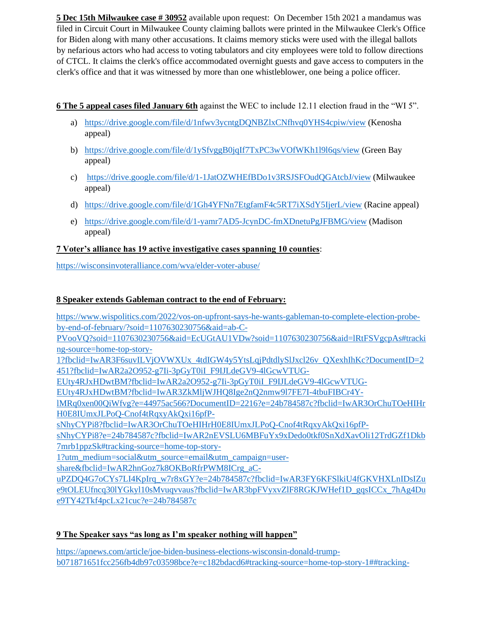**5 Dec 15th Milwaukee case # 30952** available upon request: On December 15th 2021 a mandamus was filed in Circuit Court in Milwaukee County claiming ballots were printed in the Milwaukee Clerk's Office for Biden along with many other accusations. It claims memory sticks were used with the illegal ballots by nefarious actors who had access to voting tabulators and city employees were told to follow directions of CTCL. It claims the clerk's office accommodated overnight guests and gave access to computers in the clerk's office and that it was witnessed by more than one whistleblower, one being a police officer.

# **6 The 5 appeal cases filed January 6th** against the WEC to include 12.11 election fraud in the "WI 5".

- a) https://drive.google.com/file/d/1nfwv3ycntgDQNBZlxCNfhvq0YHS4cpiw/view (Kenosha appeal)
- b) https://drive.google.com/file/d/1ySfvggB0jqIf7TxPC3wVOfWKh1l9l6qs/view (Green Bay appeal)
- c) https://drive.google.com/file/d/1-1JatOZWHEfBDo1v3RSJSFOudQGAtcbJ/view (Milwaukee appeal)
- d) https://drive.google.com/file/d/1Gh4YFNn7EtgfamF4c5RT7iXSdY5IjerL/view (Racine appeal)
- e) https://drive.google.com/file/d/1-yamr7AD5-JcynDC-fmXDnetuPgJFBMG/view (Madison appeal)

# **7 Voter's alliance has 19 active investigative cases spanning 10 counties**:

https://wisconsinvoteralliance.com/wva/elder-voter-abuse/

# **8 Speaker extends Gableman contract to the end of February:**

https://www.wispolitics.com/2022/vos-on-upfront-says-he-wants-gableman-to-complete-election-probeby-end-of-february/?soid=1107630230756&aid=ab-C-PVooVQ?soid=1107630230756&aid=EcUGtAU1VDw?soid=1107630230756&aid=lRtFSVgcpAs#tracki ng-source=home-top-story-1?fbclid=IwAR3F6suvILVjOVWXUx\_4tdIGW4y5YtsLqjPdtdlySlJxcl26v\_QXexhIhKc?DocumentID=2 451?fbclid=IwAR2a2O952-g7Ii-3pGyT0iI\_F9IJLdeGV9-4lGcwVTUG-EUty4RJxHDwtBM?fbclid=IwAR2a2O952-g7Ii-3pGyT0iI\_F9IJLdeGV9-4lGcwVTUG-EUty4RJxHDwtBM?fbclid=IwAR3ZkMljWJHQ8Ige2nQ2nmw9l7FE7I-4tbuFIBCr4YlMRq0xen00QiWfvg?e=44975ac566?DocumentID=2216?e=24b784587c?fbclid=IwAR3OrChuTOeHIHr H0E8IUmxJLPoQ-Cnof4tRqxyAkQxi16pfPsNhyCYPi8?fbclid=IwAR3OrChuTOeHIHrH0E8IUmxJLPoQ-Cnof4tRqxyAkQxi16pfPsNhyCYPi8?e=24b784587c?fbclid=IwAR2nEVSLU6MBFuYx9xDedo0tkf0SnXdXavOli12TrdGZf1Dkb 7mrb1ppzSk#tracking-source=home-top-story-1?utm\_medium=social&utm\_source=email&utm\_campaign=usershare&fbclid=IwAR2hnGoz7k8OKBoRfrPWM8ICrg\_aCuPZDQ4G7oCYs7LI4KpIrq\_w7r8xGY?e=24b784587c?fbclid=IwAR3FY6KFSlkiU4fGKVHXLnIDsIZu e9tOLEUfncq30lYGkyl10sMvuqvvaus?fbclid=IwAR3bpFVyxvZlF8RGKJWHef1D\_gqsICCx\_7hAg4Du

e9TY42Tkf4pcLx21cuc?e=24b784587c

# **9 The Speaker says "as long as I'm speaker nothing will happen"**

https://apnews.com/article/joe-biden-business-elections-wisconsin-donald-trumpb071871651fcc256fb4db97c03598bce?e=c182bdacd6#tracking-source=home-top-story-1##tracking